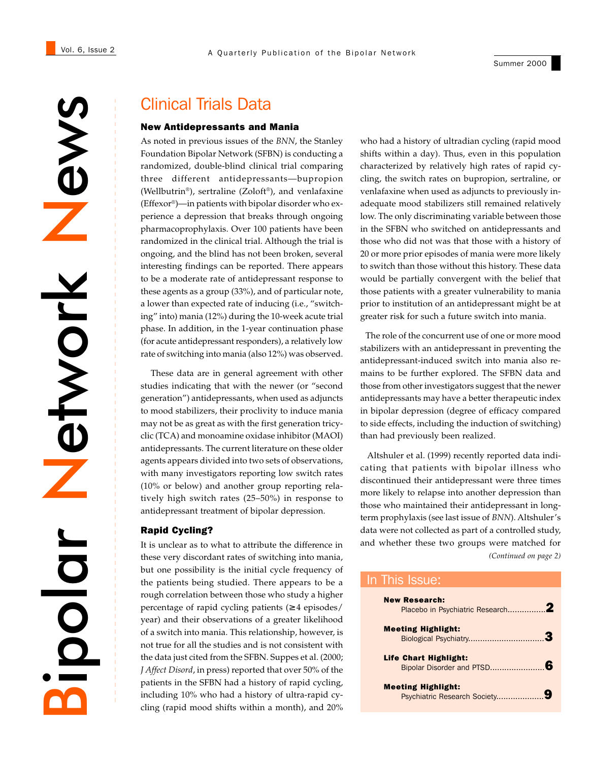#### Summer 2000

News Network etwork apolar.

# Clinical Trials Data

#### New Antidepressants and Mania

As noted in previous issues of the *BNN*, the Stanley Foundation Bipolar Network (SFBN) is conducting a randomized, double-blind clinical trial comparing three different antidepressants—bupropion (Wellbutrin®), sertraline (Zoloft®), and venlafaxine (Effexor®)—in patients with bipolar disorder who experience a depression that breaks through ongoing pharmacoprophylaxis. Over 100 patients have been randomized in the clinical trial. Although the trial is ongoing, and the blind has not been broken, several interesting findings can be reported. There appears to be a moderate rate of antidepressant response to these agents as a group (33%), and of particular note, a lower than expected rate of inducing (i.e., "switching" into) mania (12%) during the 10-week acute trial phase. In addition, in the 1-year continuation phase (for acute antidepressant responders), a relatively low rate of switching into mania (also 12%) was observed.

 These data are in general agreement with other studies indicating that with the newer (or "second generation") antidepressants, when used as adjuncts to mood stabilizers, their proclivity to induce mania may not be as great as with the first generation tricyclic (TCA) and monoamine oxidase inhibitor (MAOI) antidepressants. The current literature on these older agents appears divided into two sets of observations, with many investigators reporting low switch rates (10% or below) and another group reporting relatively high switch rates (25–50%) in response to antidepressant treatment of bipolar depression.

#### Rapid Cycling?

It is unclear as to what to attribute the difference in these very discordant rates of switching into mania, but one possibility is the initial cycle frequency of the patients being studied. There appears to be a rough correlation between those who study a higher percentage of rapid cycling patients (≥ 4 episodes/ year) and their observations of a greater likelihood of a switch into mania. This relationship, however, is not true for all the studies and is not consistent with the data just cited from the SFBN. Suppes et al. (2000; *J Affect Disord*, in press) reported that over 50% of the patients in the SFBN had a history of rapid cycling, including 10% who had a history of ultra-rapid cycling (rapid mood shifts within a month), and 20%

who had a history of ultradian cycling (rapid mood shifts within a day). Thus, even in this population characterized by relatively high rates of rapid cycling, the switch rates on bupropion, sertraline, or venlafaxine when used as adjuncts to previously inadequate mood stabilizers still remained relatively low. The only discriminating variable between those in the SFBN who switched on antidepressants and those who did not was that those with a history of 20 or more prior episodes of mania were more likely to switch than those without this history. These data would be partially convergent with the belief that those patients with a greater vulnerability to mania prior to institution of an antidepressant might be at greater risk for such a future switch into mania.

 The role of the concurrent use of one or more mood stabilizers with an antidepressant in preventing the antidepressant-induced switch into mania also remains to be further explored. The SFBN data and those from other investigators suggest that the newer antidepressants may have a better therapeutic index in bipolar depression (degree of efficacy compared to side effects, including the induction of switching) than had previously been realized.

*(Continued on page 2)* Altshuler et al. (1999) recently reported data indicating that patients with bipolar illness who discontinued their antidepressant were three times more likely to relapse into another depression than those who maintained their antidepressant in longterm prophylaxis (see last issue of *BNN*). Altshuler's data were not collected as part of a controlled study, and whether these two groups were matched for

## In This Issue:

| <b>New Research:</b>         |  |
|------------------------------|--|
| <b>Meeting Highlight:</b>    |  |
| <b>Life Chart Highlight:</b> |  |
| <b>Meeting Highlight:</b>    |  |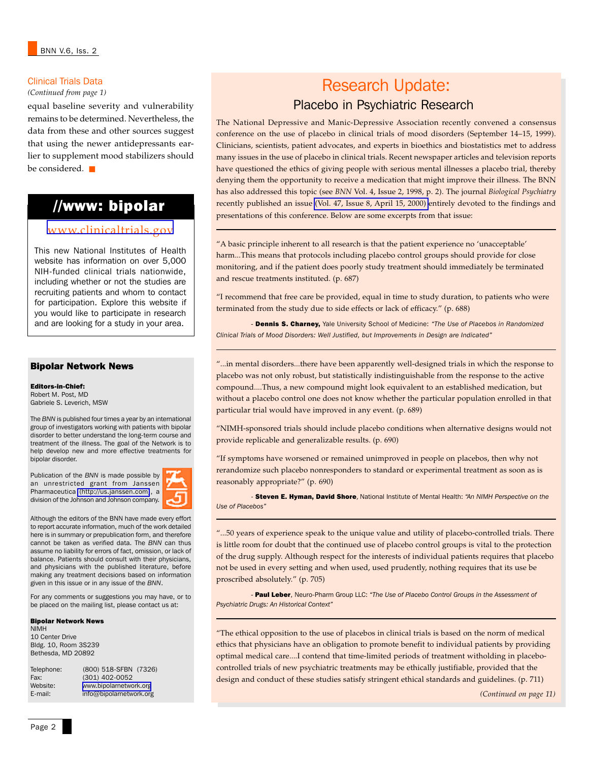#### Clinical Trials Data

equal baseline severity and vulnerability remains to be determined. Nevertheless, the data from these and other sources suggest that using the newer antidepressants earlier to supplement mood stabilizers should be considered. ■

# //www: bipolar

## [www.clinicaltrials.gov](http://www.clinicaltrials.gov/)

This new National Institutes of Health website has information on over 5,000 NIH-funded clinical trials nationwide, including whether or not the studies are recruiting patients and whom to contact for participation. Explore this website if you would like to participate in research and are looking for a study in your area.

#### Bipolar Network News

Editors-in-Chief: Robert M. Post, MD Gabriele S. Leverich, MSW

The *BNN* is published four times a year by an international group of investigators working with patients with bipolar disorder to better understand the long-term course and treatment of the illness. The goal of the Network is to help develop new and more effective treatments for bipolar disorder.

Publication of the *BNN* is made possible by an unrestricted grant from Janssen Pharmaceutica [\(http://us.janssen.com\)](http://us.janssen.com/), a division of the Johnson and Johnson company.



Although the editors of the BNN have made every effort to report accurate information, much of the work detailed here is in summary or prepublication form, and therefore cannot be taken as verified data. The *BNN* can thus assume no liability for errors of fact, omission, or lack of balance. Patients should consult with their physicians, and physicians with the published literature, before making any treatment decisions based on information given in this issue or in any issue of the *BNN*.

For any comments or suggestions you may have, or to be placed on the mailing list, please contact us at:

#### Bipolar Network News

NIMH 10 Center Drive Bldg. 10, Room 3S239 Bethesda, MD 20892

Telephone: (800) 518-SFBN (7326) Fax: (301) 402-0052<br>Website: www.bipolarnetwo Website: [www.bipolarnetwork.org](http://www.bipolarnetwork.org/)<br>E-mail: info@bipolarnetwork.org info@bipolarnetwork.org

# *Clinical Trials Data*<br>(Continued from page 1) **Research Update:** Placebo in Psychiatric Research

The National Depressive and Manic-Depressive Association recently convened a consensus conference on the use of placebo in clinical trials of mood disorders (September 14–15, 1999). Clinicians, scientists, patient advocates, and experts in bioethics and biostatistics met to address many issues in the use of placebo in clinical trials. Recent newspaper articles and television reports have questioned the ethics of giving people with serious mental illnesses a placebo trial, thereby denying them the opportunity to receive a medication that might improve their illness. The BNN has also addressed this topic (see *BNN* Vol. 4, Issue 2, 1998, p. 2). The journal *Biological Psychiatry* recently published an issue [\(Vol. 47, Issue 8, April 15, 2000\)](http://www-east.elsevier.com/bps/rec_iss/4708toc.htm) entirely devoted to the findings and presentations of this conference. Below are some excerpts from that issue:

"A basic principle inherent to all research is that the patient experience no 'unacceptable' harm...This means that protocols including placebo control groups should provide for close monitoring, and if the patient does poorly study treatment should immediately be terminated and rescue treatments instituted. (p. 687)

"I recommend that free care be provided, equal in time to study duration, to patients who were terminated from the study due to side effects or lack of efficacy." (p. 688)

- Dennis S. Charney, Yale University School of Medicine: *"The Use of Placebos in Randomized Clinical Trials of Mood Disorders: Well Justified, but Improvements in Design are Indicated"*

"...in mental disorders...there have been apparently well-designed trials in which the response to placebo was not only robust, but statistically indistinguishable from the response to the active compound....Thus, a new compound might look equivalent to an established medication, but without a placebo control one does not know whether the particular population enrolled in that particular trial would have improved in any event. (p. 689)

"NIMH-sponsored trials should include placebo conditions when alternative designs would not provide replicable and generalizable results. (p. 690)

"If symptoms have worsened or remained unimproved in people on placebos, then why not rerandomize such placebo nonresponders to standard or experimental treatment as soon as is reasonably appropriate?" (p. 690)

- Steven E. Hyman, David Shore, National Institute of Mental Health: *"An NIMH Perspective on the Use of Placebos"*

"...50 years of experience speak to the unique value and utility of placebo-controlled trials. There is little room for doubt that the continued use of placebo control groups is vital to the protection of the drug supply. Although respect for the interests of individual patients requires that placebo not be used in every setting and when used, used prudently, nothing requires that its use be proscribed absolutely." (p. 705)

- Paul Leber, Neuro-Pharm Group LLC: *"The Use of Placebo Control Groups in the Assessment of Psychiatric Drugs: An Historical Context"*

"The ethical opposition to the use of placebos in clinical trials is based on the norm of medical ethics that physicians have an obligation to promote benefit to individual patients by providing optimal medical care....I contend that time-limited periods of treatment witholding in placebocontrolled trials of new psychiatric treatments may be ethically justifiable, provided that the design and conduct of these studies satisfy stringent ethical standards and guidelines. (p. 711)

*(Continued on page 11)*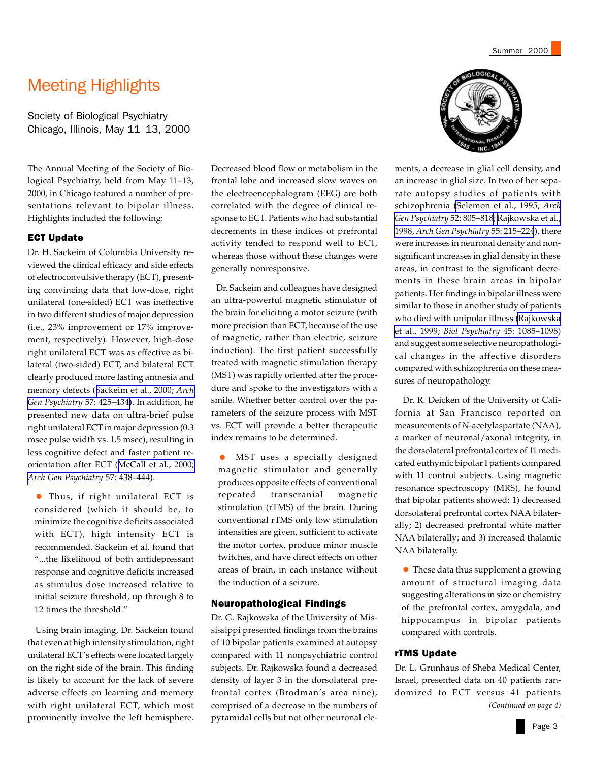# Meeting Highlights

Society of Biological Psychiatry Chicago, Illinois, May 11–13, 2000

The Annual Meeting of the Society of Biological Psychiatry, held from May 11–13, 2000, in Chicago featured a number of presentations relevant to bipolar illness. Highlights included the following:

## ECT Update

Dr. H. Sackeim of Columbia University reviewed the clinical efficacy and side effects of electroconvulsive therapy (ECT), presenting convincing data that low-dose, right unilateral (one-sided) ECT was ineffective in two different studies of major depression (i.e., 23% improvement or 17% improvement, respectively). However, high-dose right unilateral ECT was as effective as bilateral (two-sided) ECT, and bilateral ECT clearly produced more lasting amnesia and memory defects ([Sackeim et al., 2000;](http://www.ncbi.nlm.nih.gov/entrez/query.fcgi?cmd=Retrieve&db=PubMed&list_uids=10807482&dopt=Abstract) *Arch [Gen Psychiatry](http://www.ncbi.nlm.nih.gov/entrez/query.fcgi?cmd=Retrieve&db=PubMed&list_uids=10807482&dopt=Abstract)* 57: 425–434). In addition, he presented new data on ultra-brief pulse right unilateral ECT in major depression (0.3 msec pulse width vs. 1.5 msec), resulting in less cognitive defect and faster patient reorientation after ECT ([McCall et al., 2000;](http://www.ncbi.nlm.nih.gov/entrez/query.fcgi?cmd=Retrieve&db=PubMed&list_uids=10807483&dopt=Abstract) *[Arch Gen Psychiatry](http://www.ncbi.nlm.nih.gov/entrez/query.fcgi?cmd=Retrieve&db=PubMed&list_uids=10807483&dopt=Abstract)* 57: 438–444).

• Thus, if right unilateral ECT is considered (which it should be, to minimize the cognitive deficits associated with ECT), high intensity ECT is recommended. Sackeim et al. found that "...the likelihood of both antidepressant response and cognitive deficits increased as stimulus dose increased relative to initial seizure threshold, up through 8 to 12 times the threshold."

 Using brain imaging, Dr. Sackeim found that even at high intensity stimulation, right unilateral ECT's effects were located largely on the right side of the brain. This finding is likely to account for the lack of severe adverse effects on learning and memory with right unilateral ECT, which most prominently involve the left hemisphere.

Decreased blood flow or metabolism in the frontal lobe and increased slow waves on the electroencephalogram (EEG) are both correlated with the degree of clinical response to ECT. Patients who had substantial decrements in these indices of prefrontal activity tended to respond well to ECT, whereas those without these changes were generally nonresponsive.

 Dr. Sackeim and colleagues have designed an ultra-powerful magnetic stimulator of the brain for eliciting a motor seizure (with more precision than ECT, because of the use of magnetic, rather than electric, seizure induction). The first patient successfully treated with magnetic stimulation therapy (MST) was rapidly oriented after the procedure and spoke to the investigators with a smile. Whether better control over the parameters of the seizure process with MST vs. ECT will provide a better therapeutic index remains to be determined.

• MST uses a specially designed magnetic stimulator and generally produces opposite effects of conventional repeated transcranial magnetic stimulation (rTMS) of the brain. During conventional rTMS only low stimulation intensities are given, sufficient to activate the motor cortex, produce minor muscle twitches, and have direct effects on other areas of brain, in each instance without the induction of a seizure.

#### Neuropathological Findings

Dr. G. Rajkowska of the University of Mississippi presented findings from the brains of 10 bipolar patients examined at autopsy compared with 11 nonpsychiatric control subjects. Dr. Rajkowska found a decreased density of layer 3 in the dorsolateral prefrontal cortex (Brodman's area nine), comprised of a decrease in the numbers of pyramidal cells but not other neuronal ele-



Summer 2000

ments, a decrease in glial cell density, and an increase in glial size. In two of her separate autopsy studies of patients with schizophrenia [\(Selemon et al., 1995,](http://www.ncbi.nlm.nih.gov/entrez/query.fcgi?cmd=Retrieve&db=PubMed&list_uids=7575100&dopt=Abstract) *Arch [Gen Psychiatry](http://www.ncbi.nlm.nih.gov/entrez/query.fcgi?cmd=Retrieve&db=PubMed&list_uids=7575100&dopt=Abstract)* 52: 805–818; [Rajkowska et al.,](http://www.ncbi.nlm.nih.gov/entrez/query.fcgi?cmd=Retrieve&db=PubMed&list_uids=9510215&dopt=Abstract) 1998, *[Arch Gen Psychiatry](http://www.ncbi.nlm.nih.gov/entrez/query.fcgi?cmd=Retrieve&db=PubMed&list_uids=9510215&dopt=Abstract)* 55: 215–224), there were increases in neuronal density and nonsignificant increases in glial density in these areas, in contrast to the significant decrements in these brain areas in bipolar patients. Her findings in bipolar illness were similar to those in another study of patients who died with unipolar illness [\(Rajkowska](http://www.ncbi.nlm.nih.gov/entrez/query.fcgi?cmd=Retrieve&db=PubMed&list_uids=10331101&dopt=Abstract) et al., 1999; *Biol Psychiatry* [45: 1085–1098](http://www.ncbi.nlm.nih.gov/entrez/query.fcgi?cmd=Retrieve&db=PubMed&list_uids=10331101&dopt=Abstract)) and suggest some selective neuropathological changes in the affective disorders compared with schizophrenia on these measures of neuropathology.

 Dr. R. Deicken of the University of California at San Francisco reported on measurements of *N*-acetylaspartate (NAA), a marker of neuronal/axonal integrity, in the dorsolateral prefrontal cortex of 11 medicated euthymic bipolar I patients compared with 11 control subjects. Using magnetic resonance spectroscopy (MRS), he found that bipolar patients showed: 1) decreased dorsolateral prefrontal cortex NAA bilaterally; 2) decreased prefrontal white matter NAA bilaterally; and 3) increased thalamic NAA bilaterally.

• These data thus supplement a growing amount of structural imaging data suggesting alterations in size or chemistry of the prefrontal cortex, amygdala, and hippocampus in bipolar patients compared with controls.

#### rTMS Update

Dr. L. Grunhaus of Sheba Medical Center, Israel, presented data on 40 patients randomized to ECT versus 41 patients *(Continued on page 4)*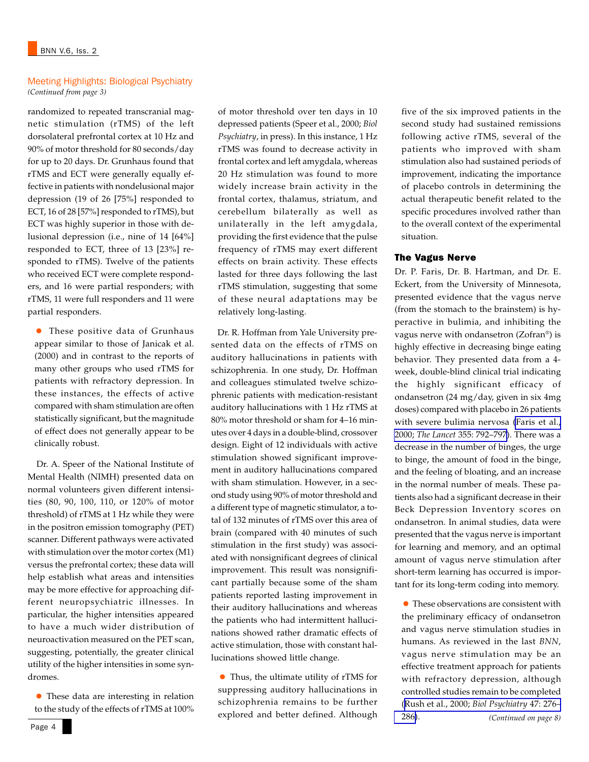#### Meeting Highlights: Biological Psychiatry *(Continued from page 3)*

randomized to repeated transcranial magnetic stimulation (rTMS) of the left dorsolateral prefrontal cortex at 10 Hz and 90% of motor threshold for 80 seconds/day for up to 20 days. Dr. Grunhaus found that rTMS and ECT were generally equally effective in patients with nondelusional major depression (19 of 26 [75%] responded to ECT, 16 of 28 [57%] responded to rTMS), but ECT was highly superior in those with delusional depression (i.e., nine of 14 [64%] responded to ECT, three of 13 [23%] responded to rTMS). Twelve of the patients who received ECT were complete responders, and 16 were partial responders; with rTMS, 11 were full responders and 11 were partial responders.

• These positive data of Grunhaus appear similar to those of Janicak et al. (2000) and in contrast to the reports of many other groups who used rTMS for patients with refractory depression. In these instances, the effects of active compared with sham stimulation are often statistically significant, but the magnitude of effect does not generally appear to be clinically robust.

 Dr. A. Speer of the National Institute of Mental Health (NIMH) presented data on normal volunteers given different intensities (80, 90, 100, 110, or 120% of motor threshold) of rTMS at 1 Hz while they were in the positron emission tomography (PET) scanner. Different pathways were activated with stimulation over the motor cortex (M1) versus the prefrontal cortex; these data will help establish what areas and intensities may be more effective for approaching different neuropsychiatric illnesses. In particular, the higher intensities appeared to have a much wider distribution of neuroactivation measured on the PET scan, suggesting, potentially, the greater clinical utility of the higher intensities in some syndromes.

• These data are interesting in relation to the study of the effects of rTMS at 100%

of motor threshold over ten days in 10 depressed patients (Speer et al., 2000; *Biol Psychiatry*, in press). In this instance, 1 Hz rTMS was found to decrease activity in frontal cortex and left amygdala, whereas 20 Hz stimulation was found to more widely increase brain activity in the frontal cortex, thalamus, striatum, and cerebellum bilaterally as well as unilaterally in the left amygdala, providing the first evidence that the pulse frequency of rTMS may exert different effects on brain activity. These effects lasted for three days following the last rTMS stimulation, suggesting that some of these neural adaptations may be relatively long-lasting.

 Dr. R. Hoffman from Yale University presented data on the effects of rTMS on auditory hallucinations in patients with schizophrenia. In one study, Dr. Hoffman and colleagues stimulated twelve schizophrenic patients with medication-resistant auditory hallucinations with 1 Hz rTMS at 80% motor threshold or sham for 4–16 minutes over 4 days in a double-blind, crossover design. Eight of 12 individuals with active stimulation showed significant improvement in auditory hallucinations compared with sham stimulation. However, in a second study using 90% of motor threshold and a different type of magnetic stimulator, a total of 132 minutes of rTMS over this area of brain (compared with 40 minutes of such stimulation in the first study) was associated with nonsignificant degrees of clinical improvement. This result was nonsignificant partially because some of the sham patients reported lasting improvement in their auditory hallucinations and whereas the patients who had intermittent hallucinations showed rather dramatic effects of active stimulation, those with constant hallucinations showed little change.

• Thus, the ultimate utility of rTMS for suppressing auditory hallucinations in schizophrenia remains to be further explored and better defined. Although five of the six improved patients in the second study had sustained remissions following active rTMS, several of the patients who improved with sham stimulation also had sustained periods of improvement, indicating the importance of placebo controls in determining the actual therapeutic benefit related to the specific procedures involved rather than to the overall context of the experimental situation.

#### The Vagus Nerve

Dr. P. Faris, Dr. B. Hartman, and Dr. E. Eckert, from the University of Minnesota, presented evidence that the vagus nerve (from the stomach to the brainstem) is hyperactive in bulimia, and inhibiting the vagus nerve with ondansetron (Zofran®) is highly effective in decreasing binge eating behavior. They presented data from a 4 week, double-blind clinical trial indicating the highly significant efficacy of ondansetron (24 mg/day, given in six 4mg doses) compared with placebo in 26 patients with severe bulimia nervosa [\(Faris et al.,](http://www.ncbi.nlm.nih.gov/entrez/query.fcgi?cmd=Retrieve&db=PubMed&list_uids=10711927&dopt=Abstract) 2000; *The Lancet* [355: 792–797\)](http://www.ncbi.nlm.nih.gov/entrez/query.fcgi?cmd=Retrieve&db=PubMed&list_uids=10711927&dopt=Abstract). There was a decrease in the number of binges, the urge to binge, the amount of food in the binge, and the feeling of bloating, and an increase in the normal number of meals. These patients also had a significant decrease in their Beck Depression Inventory scores on ondansetron. In animal studies, data were presented that the vagus nerve is important for learning and memory, and an optimal amount of vagus nerve stimulation after short-term learning has occurred is important for its long-term coding into memory.

*(Continued on page 8)* • These observations are consistent with the preliminary efficacy of ondansetron and vagus nerve stimulation studies in humans. As reviewed in the last *BNN*, vagus nerve stimulation may be an effective treatment approach for patients with refractory depression, although controlled studies remain to be completed ([Rush et al., 2000;](http://www.ncbi.nlm.nih.gov/entrez/query.fcgi?cmd=Retrieve&db=PubMed&list_uids=10686262&dopt=Abstract) *Biol Psychiatry* 47: 276– [286\)](http://www.ncbi.nlm.nih.gov/entrez/query.fcgi?cmd=Retrieve&db=PubMed&list_uids=10686262&dopt=Abstract).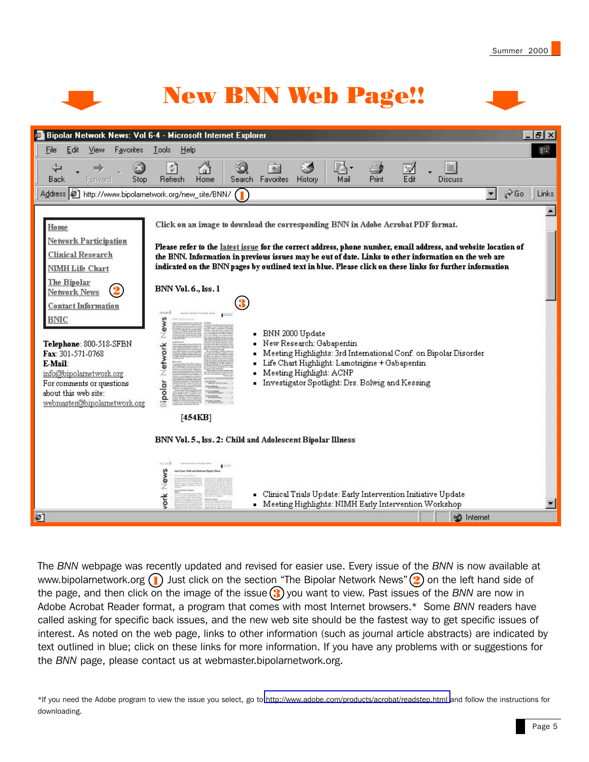

New BNN Web Page!!



The *BNN* webpage was recently updated and revised for easier use. Every issue of the *BNN* is now available at www.bipolarnetwork.org ( $\blacksquare$ ) Just click on the section "The Bipolar Network News" (2) on the left hand side of the page, and then click on the image of the issue (3) you want to view. Past issues of the BNN are now in Adobe Acrobat Reader format, a program that comes with most Internet browsers.\* Some *BNN* readers have called asking for specific back issues, and the new web site should be the fastest way to get specific issues of interest. As noted on the web page, links to other information (such as journal article abstracts) are indicated by text outlined in blue; click on these links for more information. If you have any problems with or suggestions for the *BNN* page, please contact us at webmaster.bipolarnetwork.org.

\*If you need the Adobe program to view the issue you select, go to<http://www.adobe.com/products/acrobat/readstep.html>and follow the instructions for downloading.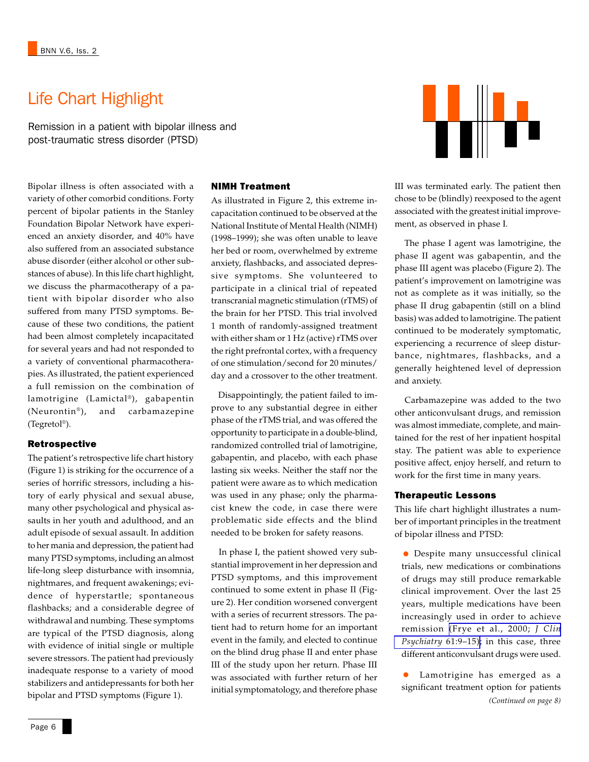# Life Chart Highlight

Remission in a patient with bipolar illness and post-traumatic stress disorder (PTSD)

Bipolar illness is often associated with a variety of other comorbid conditions. Forty percent of bipolar patients in the Stanley Foundation Bipolar Network have experienced an anxiety disorder, and 40% have also suffered from an associated substance abuse disorder (either alcohol or other substances of abuse). In this life chart highlight, we discuss the pharmacotherapy of a patient with bipolar disorder who also suffered from many PTSD symptoms. Because of these two conditions, the patient had been almost completely incapacitated for several years and had not responded to a variety of conventional pharmacotherapies. As illustrated, the patient experienced a full remission on the combination of lamotrigine (Lamictal®), gabapentin (Neurontin®), and carbamazepine (Tegretol®).

## Retrospective

The patient's retrospective life chart history (Figure 1) is striking for the occurrence of a series of horrific stressors, including a history of early physical and sexual abuse, many other psychological and physical assaults in her youth and adulthood, and an adult episode of sexual assault. In addition to her mania and depression, the patient had many PTSD symptoms, including an almost life-long sleep disturbance with insomnia, nightmares, and frequent awakenings; evidence of hyperstartle; spontaneous flashbacks; and a considerable degree of withdrawal and numbing. These symptoms are typical of the PTSD diagnosis, along with evidence of initial single or multiple severe stressors. The patient had previously inadequate response to a variety of mood stabilizers and antidepressants for both her bipolar and PTSD symptoms (Figure 1).

#### NIMH Treatment

As illustrated in Figure 2, this extreme incapacitation continued to be observed at the National Institute of Mental Health (NIMH) (1998–1999); she was often unable to leave her bed or room, overwhelmed by extreme anxiety, flashbacks, and associated depressive symptoms. She volunteered to participate in a clinical trial of repeated transcranial magnetic stimulation (rTMS) of the brain for her PTSD. This trial involved 1 month of randomly-assigned treatment with either sham or 1 Hz (active) rTMS over the right prefrontal cortex, with a frequency of one stimulation/second for 20 minutes/ day and a crossover to the other treatment.

 Disappointingly, the patient failed to improve to any substantial degree in either phase of the rTMS trial, and was offered the opportunity to participate in a double-blind, randomized controlled trial of lamotrigine, gabapentin, and placebo, with each phase lasting six weeks. Neither the staff nor the patient were aware as to which medication was used in any phase; only the pharmacist knew the code, in case there were problematic side effects and the blind needed to be broken for safety reasons.

 In phase I, the patient showed very substantial improvement in her depression and PTSD symptoms, and this improvement continued to some extent in phase II (Figure 2). Her condition worsened convergent with a series of recurrent stressors. The patient had to return home for an important event in the family, and elected to continue on the blind drug phase II and enter phase III of the study upon her return. Phase III was associated with further return of her initial symptomatology, and therefore phase



III was terminated early. The patient then chose to be (blindly) reexposed to the agent associated with the greatest initial improvement, as observed in phase I.

 The phase I agent was lamotrigine, the phase II agent was gabapentin, and the phase III agent was placebo (Figure 2). The patient's improvement on lamotrigine was not as complete as it was initially, so the phase II drug gabapentin (still on a blind basis) was added to lamotrigine. The patient continued to be moderately symptomatic, experiencing a recurrence of sleep disturbance, nightmares, flashbacks, and a generally heightened level of depression and anxiety.

 Carbamazepine was added to the two other anticonvulsant drugs, and remission was almost immediate, complete, and maintained for the rest of her inpatient hospital stay. The patient was able to experience positive affect, enjoy herself, and return to work for the first time in many years.

#### Therapeutic Lessons

This life chart highlight illustrates a number of important principles in the treatment of bipolar illness and PTSD:

• Despite many unsuccessful clinical trials, new medications or combinations of drugs may still produce remarkable clinical improvement. Over the last 25 years, multiple medications have been increasingly used in order to achieve remission [\(Frye et al., 2000;](http://www.ncbi.nlm.nih.gov/entrez/query.fcgi?cmd=Retrieve&db=PubMed&list_uids=10695639&dopt=Abstract) *J Clin [Psychiatry](http://www.ncbi.nlm.nih.gov/entrez/query.fcgi?cmd=Retrieve&db=PubMed&list_uids=10695639&dopt=Abstract)* 61:9–15); in this case, three different anticonvulsant drugs were used.

*(Continued on page 8)* Lamotrigine has emerged as a significant treatment option for patients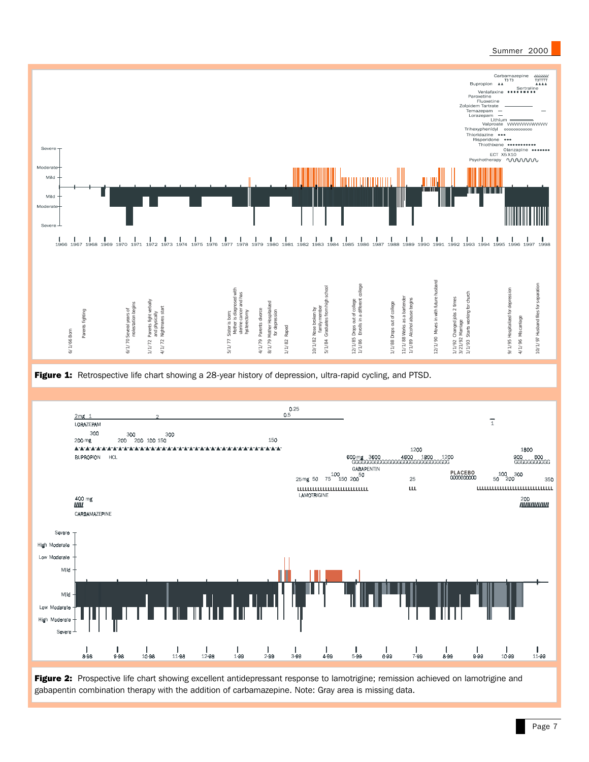

Figure 2: Prospective life chart showing excellent antidepressant response to lamotrigine; remission achieved on lamotrigine and gabapentin combination therapy with the addition of carbamazepine. Note: Gray area is missing data.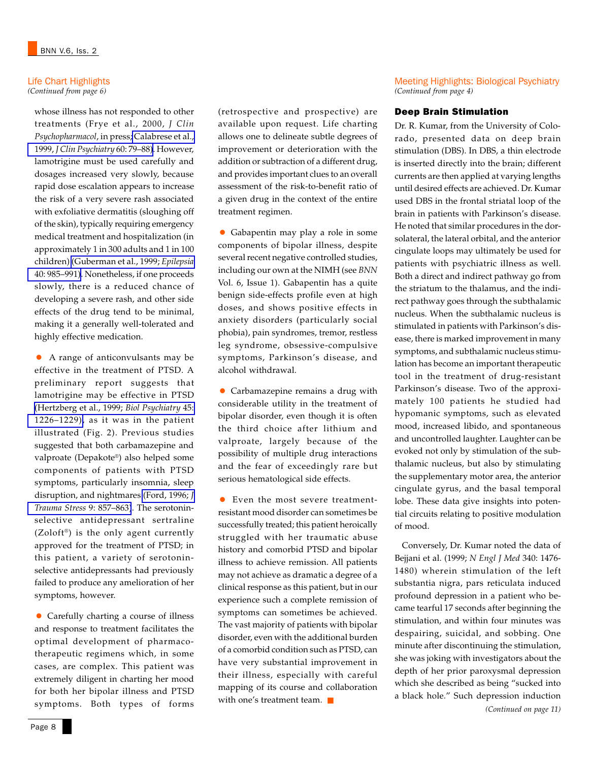# Life Chart Highlights

*(Continued from page 6)*

whose illness has not responded to other treatments (Frye et al., 2000, *J Clin Psychopharmacol*, in press; [Calabrese et al.,](http://www.ncbi.nlm.nih.gov/entrez/query.fcgi?cmd=Retrieve&db=PubMed&list_uids=10084633&dopt=Abstract) 1999, *[J Clin Psychiatry](http://www.ncbi.nlm.nih.gov/entrez/query.fcgi?cmd=Retrieve&db=PubMed&list_uids=10084633&dopt=Abstract)* 60: 79–88). However, lamotrigine must be used carefully and dosages increased very slowly, because rapid dose escalation appears to increase the risk of a very severe rash associated with exfoliative dermatitis (sloughing off of the skin), typically requiring emergency medical treatment and hospitalization (in approximately 1 in 300 adults and 1 in 100 children) [\(Guberman et al., 1999;](http://www.ncbi.nlm.nih.gov/entrez/query.fcgi?cmd=Retrieve&db=PubMed&list_uids=10403224&dopt=Abstract) *Epilepsia* [40: 985–991\)](http://www.ncbi.nlm.nih.gov/entrez/query.fcgi?cmd=Retrieve&db=PubMed&list_uids=10403224&dopt=Abstract). Nonetheless, if one proceeds slowly, there is a reduced chance of developing a severe rash, and other side effects of the drug tend to be minimal, making it a generally well-tolerated and highly effective medication.

• A range of anticonvulsants may be effective in the treatment of PTSD. A preliminary report suggests that lamotrigine may be effective in PTSD [\(Hertzberg et al., 1999;](http://www.ncbi.nlm.nih.gov/entrez/query.fcgi?cmd=Retrieve&db=PubMed&list_uids=10331117&dopt=Abstract) *Biol Psychiatry* 45: [1226–1229\),](http://www.ncbi.nlm.nih.gov/entrez/query.fcgi?cmd=Retrieve&db=PubMed&list_uids=10331117&dopt=Abstract) as it was in the patient illustrated (Fig. 2). Previous studies suggested that both carbamazepine and valproate (Depakote®) also helped some components of patients with PTSD symptoms, particularly insomnia, sleep disruption, and nightmares [\(Ford, 1996;](http://www.ncbi.nlm.nih.gov/entrez/query.fcgi?cmd=Retrieve&db=PubMed&list_uids=8902751&dopt=Abstract) *J [Trauma Stress](http://www.ncbi.nlm.nih.gov/entrez/query.fcgi?cmd=Retrieve&db=PubMed&list_uids=8902751&dopt=Abstract)* 9: 857–863). The serotoninselective antidepressant sertraline  $(Zoloft<sup>®</sup>)$  is the only agent currently approved for the treatment of PTSD; in this patient, a variety of serotoninselective antidepressants had previously failed to produce any amelioration of her symptoms, however.

• Carefully charting a course of illness and response to treatment facilitates the optimal development of pharmacotherapeutic regimens which, in some cases, are complex. This patient was extremely diligent in charting her mood for both her bipolar illness and PTSD symptoms. Both types of forms

(retrospective and prospective) are available upon request. Life charting allows one to delineate subtle degrees of improvement or deterioration with the addition or subtraction of a different drug, and provides important clues to an overall assessment of the risk-to-benefit ratio of a given drug in the context of the entire treatment regimen.

• Gabapentin may play a role in some components of bipolar illness, despite several recent negative controlled studies, including our own at the NIMH (see *BNN* Vol. 6, Issue 1). Gabapentin has a quite benign side-effects profile even at high doses, and shows positive effects in anxiety disorders (particularly social phobia), pain syndromes, tremor, restless leg syndrome, obsessive-compulsive symptoms, Parkinson's disease, and alcohol withdrawal.

• Carbamazepine remains a drug with considerable utility in the treatment of bipolar disorder, even though it is often the third choice after lithium and valproate, largely because of the possibility of multiple drug interactions and the fear of exceedingly rare but serious hematological side effects.

• Even the most severe treatmentresistant mood disorder can sometimes be successfully treated; this patient heroically struggled with her traumatic abuse history and comorbid PTSD and bipolar illness to achieve remission. All patients may not achieve as dramatic a degree of a clinical response as this patient, but in our experience such a complete remission of symptoms can sometimes be achieved. The vast majority of patients with bipolar disorder, even with the additional burden of a comorbid condition such as PTSD, can have very substantial improvement in their illness, especially with careful mapping of its course and collaboration with one's treatment team. ■

Meeting Highlights: Biological Psychiatry *(Continued from page 4)*

## Deep Brain Stimulation

Dr. R. Kumar, from the University of Colorado, presented data on deep brain stimulation (DBS). In DBS, a thin electrode is inserted directly into the brain; different currents are then applied at varying lengths until desired effects are achieved. Dr. Kumar used DBS in the frontal striatal loop of the brain in patients with Parkinson's disease. He noted that similar procedures in the dorsolateral, the lateral orbital, and the anterior cingulate loops may ultimately be used for patients with psychiatric illness as well. Both a direct and indirect pathway go from the striatum to the thalamus, and the indirect pathway goes through the subthalamic nucleus. When the subthalamic nucleus is stimulated in patients with Parkinson's disease, there is marked improvement in many symptoms, and subthalamic nucleus stimulation has become an important therapeutic tool in the treatment of drug-resistant Parkinson's disease. Two of the approximately 100 patients he studied had hypomanic symptoms, such as elevated mood, increased libido, and spontaneous and uncontrolled laughter. Laughter can be evoked not only by stimulation of the subthalamic nucleus, but also by stimulating the supplementary motor area, the anterior cingulate gyrus, and the basal temporal lobe. These data give insights into potential circuits relating to positive modulation of mood.

 Conversely, Dr. Kumar noted the data of Bejjani et al. (1999; *N Engl J Med* 340: 1476- 1480) wherein stimulation of the left substantia nigra, pars reticulata induced profound depression in a patient who became tearful 17 seconds after beginning the stimulation, and within four minutes was despairing, suicidal, and sobbing. One minute after discontinuing the stimulation, she was joking with investigators about the depth of her prior paroxysmal depression which she described as being "sucked into a black hole." Such depression induction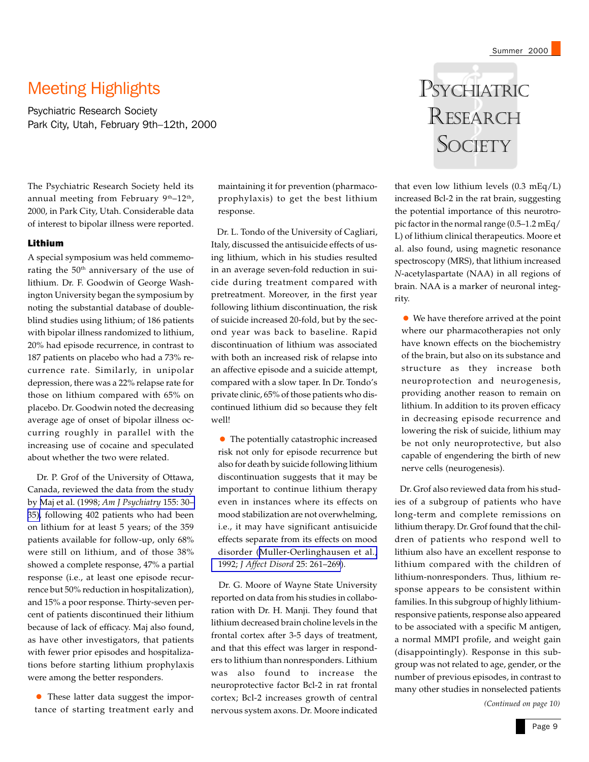# Meeting Highlights

Psychiatric Research Society Park City, Utah, February 9th–12th, 2000

The Psychiatric Research Society held its annual meeting from February  $9<sup>th</sup>-12<sup>th</sup>$ , 2000, in Park City, Utah. Considerable data of interest to bipolar illness were reported.

#### Lithium

A special symposium was held commemorating the 50<sup>th</sup> anniversary of the use of lithium. Dr. F. Goodwin of George Washington University began the symposium by noting the substantial database of doubleblind studies using lithium; of 186 patients with bipolar illness randomized to lithium, 20% had episode recurrence, in contrast to 187 patients on placebo who had a 73% recurrence rate. Similarly, in unipolar depression, there was a 22% relapse rate for those on lithium compared with 65% on placebo. Dr. Goodwin noted the decreasing average age of onset of bipolar illness occurring roughly in parallel with the increasing use of cocaine and speculated about whether the two were related.

 Dr. P. Grof of the University of Ottawa, Canada, reviewed the data from the study by [Maj et al. \(1998;](http://www.ncbi.nlm.nih.gov/entrez/query.fcgi?cmd=Retrieve&db=PubMed&list_uids=9433335&dopt=Abstract) *Am J Psychiatry* 155: 30– [35\)](http://www.ncbi.nlm.nih.gov/entrez/query.fcgi?cmd=Retrieve&db=PubMed&list_uids=9433335&dopt=Abstract), following 402 patients who had been on lithium for at least 5 years; of the 359 patients available for follow-up, only 68% were still on lithium, and of those 38% showed a complete response, 47% a partial response (i.e., at least one episode recurrence but 50% reduction in hospitalization), and 15% a poor response. Thirty-seven percent of patients discontinued their lithium because of lack of efficacy. Maj also found, as have other investigators, that patients with fewer prior episodes and hospitalizations before starting lithium prophylaxis were among the better responders.

• These latter data suggest the importance of starting treatment early and

maintaining it for prevention (pharmacoprophylaxis) to get the best lithium response.

 Dr. L. Tondo of the University of Cagliari, Italy, discussed the antisuicide effects of using lithium, which in his studies resulted in an average seven-fold reduction in suicide during treatment compared with pretreatment. Moreover, in the first year following lithium discontinuation, the risk of suicide increased 20-fold, but by the second year was back to baseline. Rapid discontinuation of lithium was associated with both an increased risk of relapse into an affective episode and a suicide attempt, compared with a slow taper. In Dr. Tondo's private clinic, 65% of those patients who discontinued lithium did so because they felt well!

• The potentially catastrophic increased risk not only for episode recurrence but also for death by suicide following lithium discontinuation suggests that it may be important to continue lithium therapy even in instances where its effects on mood stabilization are not overwhelming, i.e., it may have significant antisuicide effects separate from its effects on mood disorder ([Muller-Oerlinghausen et al.,](http://www.ncbi.nlm.nih.gov/entrez/query.fcgi?cmd=Retrieve&db=PubMed&list_uids=1430662&dopt=Abstract) 1992; *[J Affect Disord](http://www.ncbi.nlm.nih.gov/entrez/query.fcgi?cmd=Retrieve&db=PubMed&list_uids=1430662&dopt=Abstract)* 25: 261–269).

 Dr. G. Moore of Wayne State University reported on data from his studies in collaboration with Dr. H. Manji. They found that lithium decreased brain choline levels in the frontal cortex after 3-5 days of treatment, and that this effect was larger in responders to lithium than nonresponders. Lithium was also found to increase the neuroprotective factor Bcl-2 in rat frontal cortex; Bcl-2 increases growth of central nervous system axons. Dr. Moore indicated

# PSYCHIATRIC RESEARCH **SOCIETY**

that even low lithium levels (0.3 mEq/L) increased Bcl-2 in the rat brain, suggesting the potential importance of this neurotropic factor in the normal range (0.5–1.2 mEq/ L) of lithium clinical therapeutics. Moore et al. also found, using magnetic resonance spectroscopy (MRS), that lithium increased *N*-acetylaspartate (NAA) in all regions of brain. NAA is a marker of neuronal integrity.

• We have therefore arrived at the point where our pharmacotherapies not only have known effects on the biochemistry of the brain, but also on its substance and structure as they increase both neuroprotection and neurogenesis, providing another reason to remain on lithium. In addition to its proven efficacy in decreasing episode recurrence and lowering the risk of suicide, lithium may be not only neuroprotective, but also capable of engendering the birth of new nerve cells (neurogenesis).

 Dr. Grof also reviewed data from his studies of a subgroup of patients who have long-term and complete remissions on lithium therapy. Dr. Grof found that the children of patients who respond well to lithium also have an excellent response to lithium compared with the children of lithium-nonresponders. Thus, lithium response appears to be consistent within families. In this subgroup of highly lithiumresponsive patients, response also appeared to be associated with a specific M antigen, a normal MMPI profile, and weight gain (disappointingly). Response in this subgroup was not related to age, gender, or the number of previous episodes, in contrast to many other studies in nonselected patients

*(Continued on page 10)*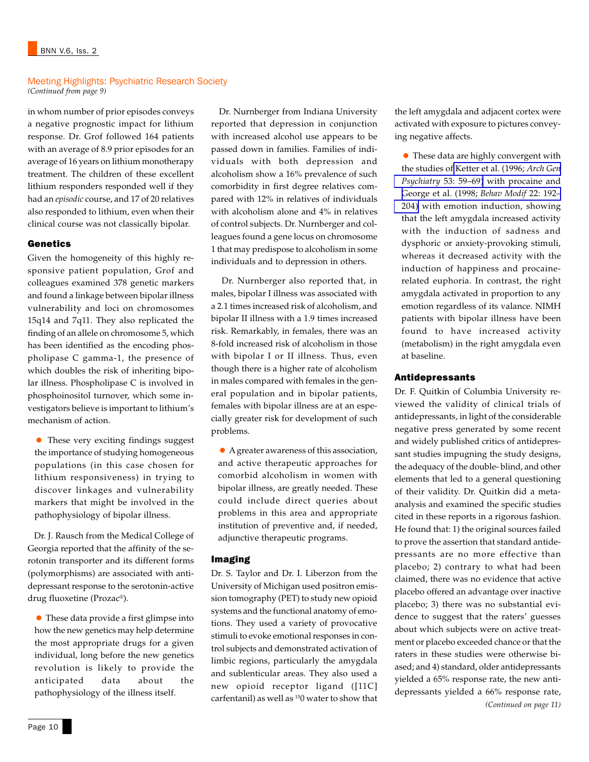#### Meeting Highlights: Psychiatric Research Society *(Continued from page 9)*

in whom number of prior episodes conveys a negative prognostic impact for lithium response. Dr. Grof followed 164 patients with an average of 8.9 prior episodes for an average of 16 years on lithium monotherapy treatment. The children of these excellent lithium responders responded well if they had an *episodic* course, and 17 of 20 relatives also responded to lithium, even when their clinical course was not classically bipolar.

## Genetics

Given the homogeneity of this highly responsive patient population, Grof and colleagues examined 378 genetic markers and found a linkage between bipolar illness vulnerability and loci on chromosomes 15q14 and 7q11. They also replicated the finding of an allele on chromosome 5, which has been identified as the encoding phospholipase C gamma-1, the presence of which doubles the risk of inheriting bipolar illness. Phospholipase C is involved in phosphoinositol turnover, which some investigators believe is important to lithium's mechanism of action.

• These very exciting findings suggest the importance of studying homogeneous populations (in this case chosen for lithium responsiveness) in trying to discover linkages and vulnerability markers that might be involved in the pathophysiology of bipolar illness.

 Dr. J. Rausch from the Medical College of Georgia reported that the affinity of the serotonin transporter and its different forms (polymorphisms) are associated with antidepressant response to the serotonin-active drug fluoxetine (Prozac®).

• These data provide a first glimpse into how the new genetics may help determine the most appropriate drugs for a given individual, long before the new genetics revolution is likely to provide the anticipated data about the pathophysiology of the illness itself.

 Dr. Nurnberger from Indiana University reported that depression in conjunction with increased alcohol use appears to be passed down in families. Families of individuals with both depression and alcoholism show a 16% prevalence of such comorbidity in first degree relatives compared with 12% in relatives of individuals with alcoholism alone and 4% in relatives of control subjects. Dr. Nurnberger and colleagues found a gene locus on chromosome 1 that may predispose to alcoholism in some individuals and to depression in others.

 Dr. Nurnberger also reported that, in males, bipolar I illness was associated with a 2.1 times increased risk of alcoholism, and bipolar II illness with a 1.9 times increased risk. Remarkably, in females, there was an 8-fold increased risk of alcoholism in those with bipolar I or II illness. Thus, even though there is a higher rate of alcoholism in males compared with females in the general population and in bipolar patients, females with bipolar illness are at an especially greater risk for development of such problems.

• A greater awareness of this association, and active therapeutic approaches for comorbid alcoholism in women with bipolar illness, are greatly needed. These could include direct queries about problems in this area and appropriate institution of preventive and, if needed, adjunctive therapeutic programs.

## Imaging

Dr. S. Taylor and Dr. I. Liberzon from the University of Michigan used positron emission tomography (PET) to study new opioid systems and the functional anatomy of emotions. They used a variety of provocative stimuli to evoke emotional responses in control subjects and demonstrated activation of limbic regions, particularly the amygdala and sublenticular areas. They also used a new opioid receptor ligand ([11C] carfentanil) as well as 150 water to show that the left amygdala and adjacent cortex were activated with exposure to pictures conveying negative affects.

• These data are highly convergent with the studies of [Ketter et al. \(1996;](http://www.ncbi.nlm.nih.gov/entrez/query.fcgi?cmd=Retrieve&db=PubMed&list_uids=8540778&dopt=Abstract) *Arch Gen Psychiatry* [53: 59–69\)](http://www.ncbi.nlm.nih.gov/entrez/query.fcgi?cmd=Retrieve&db=PubMed&list_uids=8540778&dopt=Abstract) with procaine and [George et al. \(1998;](http://www.ncbi.nlm.nih.gov/entrez/query.fcgi?cmd=Retrieve&db=PubMed&list_uids=9563292&dopt=Abstract) *Behav Modif* 22: 192– [204\)](http://www.ncbi.nlm.nih.gov/entrez/query.fcgi?cmd=Retrieve&db=PubMed&list_uids=9563292&dopt=Abstract) with emotion induction, showing that the left amygdala increased activity with the induction of sadness and dysphoric or anxiety-provoking stimuli, whereas it decreased activity with the induction of happiness and procainerelated euphoria. In contrast, the right amygdala activated in proportion to any emotion regardless of its valance. NIMH patients with bipolar illness have been found to have increased activity (metabolism) in the right amygdala even at baseline.

## Antidepressants

*(Continued on page 11)* Dr. F. Quitkin of Columbia University reviewed the validity of clinical trials of antidepressants, in light of the considerable negative press generated by some recent and widely published critics of antidepressant studies impugning the study designs, the adequacy of the double- blind, and other elements that led to a general questioning of their validity. Dr. Quitkin did a metaanalysis and examined the specific studies cited in these reports in a rigorous fashion. He found that: 1) the original sources failed to prove the assertion that standard antidepressants are no more effective than placebo; 2) contrary to what had been claimed, there was no evidence that active placebo offered an advantage over inactive placebo; 3) there was no substantial evidence to suggest that the raters' guesses about which subjects were on active treatment or placebo exceeded chance or that the raters in these studies were otherwise biased; and 4) standard, older antidepressants yielded a 65% response rate, the new antidepressants yielded a 66% response rate,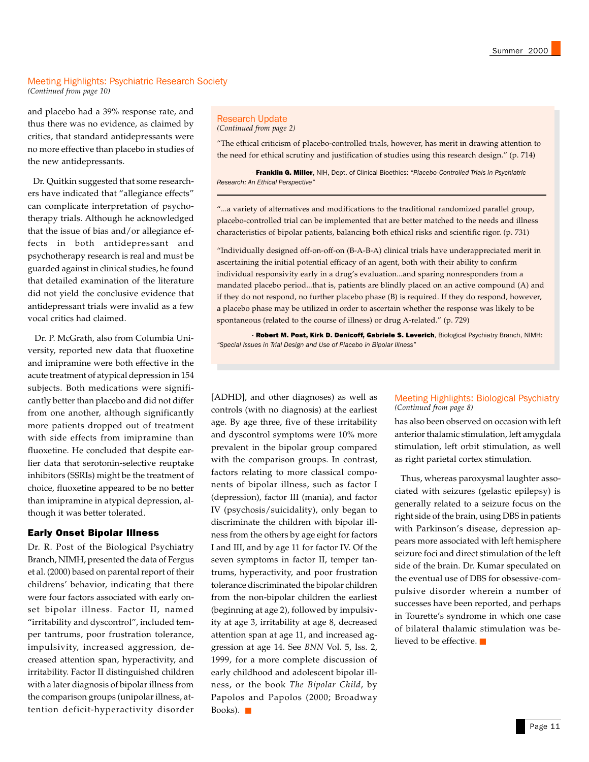#### Meeting Highlights: Psychiatric Research Society *(Continued from page 10)*

and placebo had a 39% response rate, and thus there was no evidence, as claimed by critics, that standard antidepressants were no more effective than placebo in studies of the new antidepressants.

 Dr. Quitkin suggested that some researchers have indicated that "allegiance effects" can complicate interpretation of psychotherapy trials. Although he acknowledged that the issue of bias and/or allegiance effects in both antidepressant and psychotherapy research is real and must be guarded against in clinical studies, he found that detailed examination of the literature did not yield the conclusive evidence that antidepressant trials were invalid as a few vocal critics had claimed.

 Dr. P. McGrath, also from Columbia University, reported new data that fluoxetine and imipramine were both effective in the acute treatment of atypical depression in 154 subjects. Both medications were significantly better than placebo and did not differ from one another, although significantly more patients dropped out of treatment with side effects from imipramine than fluoxetine. He concluded that despite earlier data that serotonin-selective reuptake inhibitors (SSRIs) might be the treatment of choice, fluoxetine appeared to be no better than imipramine in atypical depression, although it was better tolerated.

#### Early Onset Bipolar Illness

Dr. R. Post of the Biological Psychiatry Branch, NIMH, presented the data of Fergus et al. (2000) based on parental report of their childrens' behavior, indicating that there were four factors associated with early onset bipolar illness. Factor II, named "irritability and dyscontrol", included temper tantrums, poor frustration tolerance, impulsivity, increased aggression, decreased attention span, hyperactivity, and irritability. Factor II distinguished children with a later diagnosis of bipolar illness from the comparison groups (unipolar illness, attention deficit-hyperactivity disorder

## Research Update

*(Continued from page 2)*

"The ethical criticism of placebo-controlled trials, however, has merit in drawing attention to the need for ethical scrutiny and justification of studies using this research design." (p. 714)

- Franklin G. Miller, NIH, Dept. of Clinical Bioethics: *"Placebo-Controlled Trials in Psychiatric Research: An Ethical Perspective"*

"...a variety of alternatives and modifications to the traditional randomized parallel group, placebo-controlled trial can be implemented that are better matched to the needs and illness characteristics of bipolar patients, balancing both ethical risks and scientific rigor. (p. 731)

"Individually designed off-on-off-on (B-A-B-A) clinical trials have underappreciated merit in ascertaining the initial potential efficacy of an agent, both with their ability to confirm individual responsivity early in a drug's evaluation...and sparing nonresponders from a mandated placebo period...that is, patients are blindly placed on an active compound (A) and if they do not respond, no further placebo phase (B) is required. If they do respond, however, a placebo phase may be utilized in order to ascertain whether the response was likely to be spontaneous (related to the course of illness) or drug A-related." (p. 729)

- Robert M. Post, Kirk D. Denicoff, Gabriele S. Leverich, Biological Psychiatry Branch, NIMH: *"Special Issues in Trial Design and Use of Placebo in Bipolar Illness"*

[ADHD], and other diagnoses) as well as controls (with no diagnosis) at the earliest age. By age three, five of these irritability and dyscontrol symptoms were 10% more prevalent in the bipolar group compared with the comparison groups. In contrast, factors relating to more classical components of bipolar illness, such as factor I (depression), factor III (mania), and factor IV (psychosis/suicidality), only began to discriminate the children with bipolar illness from the others by age eight for factors I and III, and by age 11 for factor IV. Of the seven symptoms in factor II, temper tantrums, hyperactivity, and poor frustration tolerance discriminated the bipolar children from the non-bipolar children the earliest (beginning at age 2), followed by impulsivity at age 3, irritability at age 8, decreased attention span at age 11, and increased aggression at age 14. See *BNN* Vol. 5, Iss. 2, 1999, for a more complete discussion of early childhood and adolescent bipolar illness, or the book *The Bipolar Child*, by Papolos and Papolos (2000; Broadway Books).  $\blacksquare$ 

#### Meeting Highlights: Biological Psychiatry *(Continued from page 8)*

has also been observed on occasion with left anterior thalamic stimulation, left amygdala stimulation, left orbit stimulation, as well as right parietal cortex stimulation.

 Thus, whereas paroxysmal laughter associated with seizures (gelastic epilepsy) is generally related to a seizure focus on the right side of the brain, using DBS in patients with Parkinson's disease, depression appears more associated with left hemisphere seizure foci and direct stimulation of the left side of the brain. Dr. Kumar speculated on the eventual use of DBS for obsessive-compulsive disorder wherein a number of successes have been reported, and perhaps in Tourette's syndrome in which one case of bilateral thalamic stimulation was believed to be effective. ■